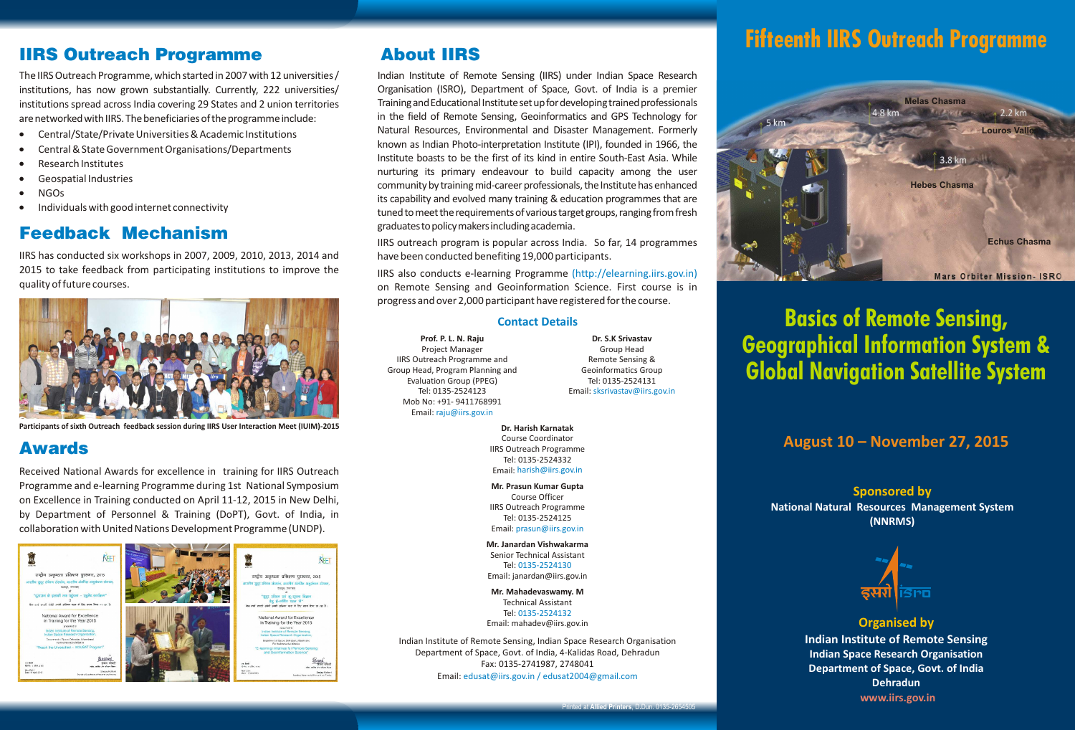# IIRS Outreach Programme

The IIRS Outreach Programme, which started in 2007 with 12 universities / institutions, has now grown substantially. Currently, 222 universities/ institutions spread across India covering 29 States and 2 union territories are networked with IIRS. The beneficiaries of the programme include:

- · Central/State/Private Universities & Academic Institutions
- Central & State Government Organisations/Departments
- · Research Institutes
- · Geospatial Industries
- · NGOs
- · Individuals with good internet connectivity

# Feedback Mechanism

IIRS has conducted six workshops in 2007, 2009, 2010, 2013, 2014 and 2015 to take feedback from participating institutions to improve the quality of future courses.



**Participants of sixth Outreach feedback session during IIRS User Interaction Meet (IUIM)-2015**

# Awards

Received National Awards for excellence in training for IIRS Outreach Programme and e-learning Programme during 1st National Symposium on Excellence in Training conducted on April 11-12, 2015 in New Delhi, by Department of Personnel & Training (DoPT), Govt. of India, in collaboration with United Nations Development Programme (UNDP).



# About IIRS

Indian Institute of Remote Sensing (IIRS) under Indian Space Research Organisation (ISRO), Department of Space, Govt. of India is a premier Training and Educational Institute set up for developing trained professionals in the field of Remote Sensing, Geoinformatics and GPS Technology for Natural Resources, Environmental and Disaster Management. Formerly known as Indian Photo-interpretation Institute (IPI), founded in 1966, the Institute boasts to be the first of its kind in entire South-East Asia. While nurturing its primary endeavour to build capacity among the user community by training mid-career professionals, the Institute has enhanced its capability and evolved many training & education programmes that are tuned to meet the requirements of various target groups, ranging from fresh graduatestopolicymakersincludingacademia.

IIRS outreach program is popular across India. So far, 14 programmes have been conducted benefiting 19,000 participants.

IIRS also conducts e-learning Programme (http://elearning.iirs.gov.in) on Remote Sensing and Geoinformation Science. First course is in progress and over 2,000 participant have registered for the course.

#### **Contact Details**

**Prof. P. L. N. Raju** Project Manager IIRS Outreach Programme and Group Head, Program Planning and Evaluation Group (PPEG) Tel: 0135-2524123 Mob No: +91- 9411768991 Email: raju@iirs.gov.in

**Dr. S.K Srivastav** Group Head Remote Sensing & Geoinformatics Group Tel: 0135-2524131 Email: sksrivastav@iirs.gov.in

**Dr. Harish Karnatak** Course Coordinator IIRS Outreach Programme Tel: 0135-2524332 Email: harish@iirs.gov.in

**Mr. Prasun Kumar Gupta**  Course Officer IIRS Outreach Programme Tel: 0135-2524125 Email: prasun@iirs.gov.in

**Mr. Janardan Vishwakarma** Senior Technical Assistant Tel: 0135-2524130 Email: janardan@iirs.gov.in

**Mr. Mahadevaswamy. M** Technical Assistant

Tel: 0135-2524132 Email: mahadev@iirs.gov.in

Indian Institute of Remote Sensing, Indian Space Research Organisation Department of Space, Govt. of India, 4-Kalidas Road, Dehradun Fax: 0135-2741987, 2748041 Email: edusat@iirs.gov.in / edusat2004@gmail.com

# **Fifteenth IIRS Outreach Programme**



**Basics of Remote Sensing, Geographical Information System & Global Navigation Satellite System**

### **August 10 – November 27, 2015**

**Sponsored by National Natural Resources Management System (NNRMS)**



#### **Organised by**

**Indian Institute of Remote Sensing Indian Space Research Organisation Department of Space, Govt. of India Dehradun www.iirs.gov.in**